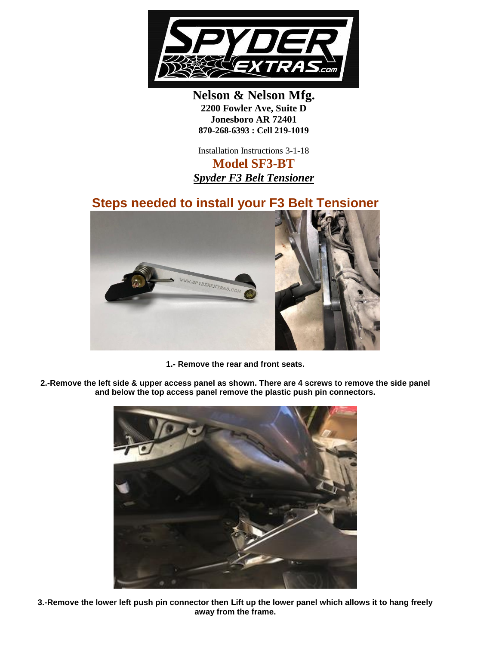

**Nelson & Nelson Mfg. 2200 Fowler Ave, Suite D Jonesboro AR 72401 870-268-6393 : Cell 219-1019**

Installation Instructions 3-1-18 **Model SF3-BT** *Spyder F3 Belt Tensioner*

## **Steps needed to install your F3 Belt Tensioner**



**1.- Remove the rear and front seats.**

**2.-Remove the left side & upper access panel as shown. There are 4 screws to remove the side panel and below the top access panel remove the plastic push pin connectors.** 



**3.-Remove the lower left push pin connector then Lift up the lower panel which allows it to hang freely away from the frame.**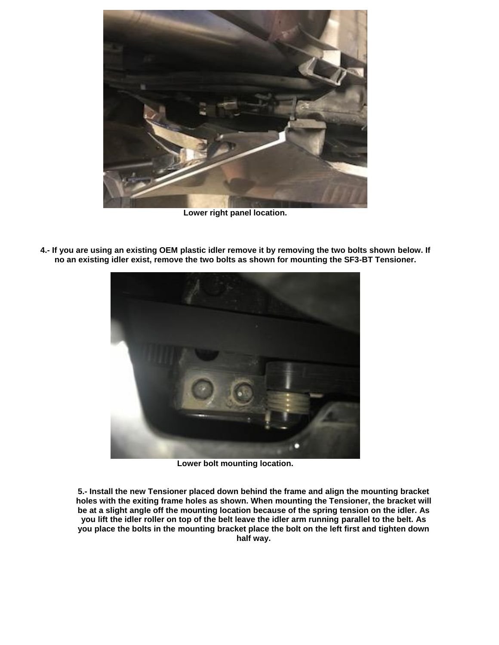

**Lower right panel location.**



**4.- If you are using an existing OEM plastic idler remove it by removing the two bolts shown below. If no an existing idler exist, remove the two bolts as shown for mounting the SF3-BT Tensioner.** 

**Lower bolt mounting location.**

**5.- Install the new Tensioner placed down behind the frame and align the mounting bracket holes with the exiting frame holes as shown. When mounting the Tensioner, the bracket will be at a slight angle off the mounting location because of the spring tension on the idler. As you lift the idler roller on top of the belt leave the idler arm running parallel to the belt. As you place the bolts in the mounting bracket place the bolt on the left first and tighten down half way.**